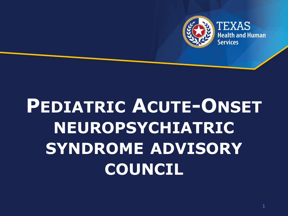

# **PEDIATRIC ACUTE-ONSET NEUROPSYCHIATRIC SYNDROME ADVISORY COUNCIL**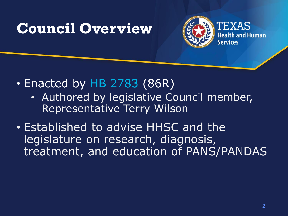### **Council Overview**



- Enacted by  $H$ B 2783 (86R)
	- Authored by legislative Council member, Representative Terry Wilson
- Established to advise HHSC and the legislature on research, diagnosis, treatment, and education of PANS/PANDAS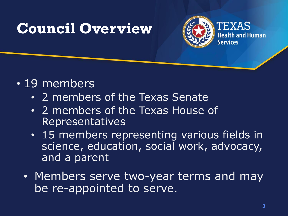### **Council Overview**



- 19 members
	- 2 members of the Texas Senate
	- 2 members of the Texas House of Representatives
	- 15 members representing various fields in science, education, social work, advocacy, and a parent
	- Members serve two-year terms and may be re-appointed to serve.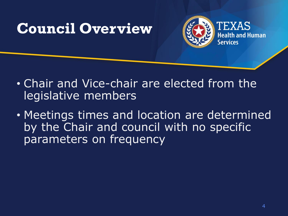### **Council Overview**



- Chair and Vice-chair are elected from the legislative members
- Meetings times and location are determined by the Chair and council with no specific parameters on frequency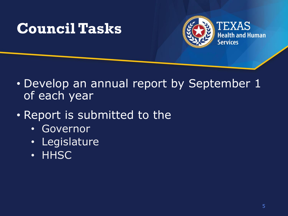### **Council Tasks**



- Develop an annual report by September 1 of each year
- Report is submitted to the
	- Governor
	- Legislature
	- **HHSC**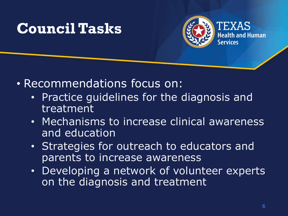### **Council Tasks**



- Recommendations focus on:
	- Practice guidelines for the diagnosis and treatment
	- Mechanisms to increase clinical awareness and education
	- Strategies for outreach to educators and parents to increase awareness
	- Developing a network of volunteer experts on the diagnosis and treatment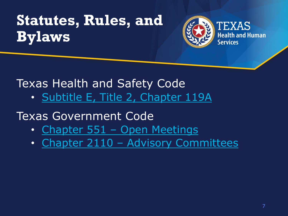# **Statutes, Rules, and Bylaws**



# Texas Health and Safety Code

• [Subtitle E, Title 2, Chapter 119A](https://statutes.capitol.texas.gov/Docs/HS/htm/HS.119A.htm)

#### Texas Government Code

- Chapter 551 [Open Meetings](https://statutes.capitol.texas.gov/Docs/GV/htm/GV.551.htm)
- Chapter 2110 [Advisory Committees](https://statutes.capitol.texas.gov/Docs/GV/htm/GV.2110.htm)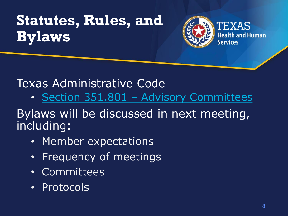# **Statutes, Rules, and Bylaws**



#### Texas Administrative Code

• Section 351.801 – [Advisory Committees](https://texreg.sos.state.tx.us/public/readtac$ext.TacPage?sl=T&app=2&p_dir=P&p_rloc=182651&p_tloc=&p_ploc=1&pg=12&p_tac=199510&ti=1&pt=15&ch=351&rl=825&z_chk=4998085)

#### Bylaws will be discussed in next meeting, including:

- Member expectations
- Frequency of meetings
- Committees
- Protocols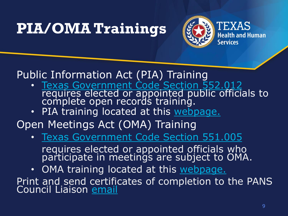# **PIA/OMA Trainings**



Public Information Act (PIA) Training

- [Texas Government Code Section 552.012](https://statutes.capitol.texas.gov/SOTWDocs/GV/htm/GV.552.htm) requires elected or appointed public officials to complete open records training.
- PIA training located at this webpage.

Open Meetings Act (OMA) Training

- [Texas Government Code Section 551.005](https://statutes.capitol.texas.gov/SOTWDocs/GV/htm/GV.551.htm) requires elected or appointed officials who participate in meetings are subject to OMA.
- OMA training located at this [webpage.](https://www.texasattorneygeneral.gov/open-government/open-meetings-act-training)

Print and send certificates of completion to the PANS Council Liaison [email](mailto:Jay.Smith@hhs.texas.gov)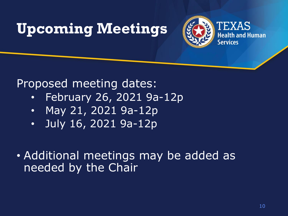# **Upcoming Meetings**



#### Proposed meeting dates:

- February 26, 2021 9a-12p
- May 21, 2021 9a-12p
- July 16, 2021 9a-12p
- Additional meetings may be added as needed by the Chair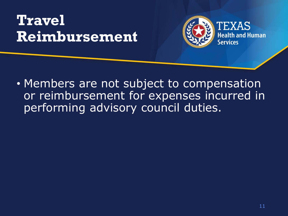# **Travel Reimbursement**



• Members are not subject to compensation or reimbursement for expenses incurred in performing advisory council duties.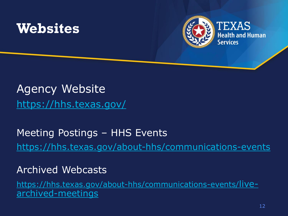



#### Agency Website <https://hhs.texas.gov/>

#### Meeting Postings – HHS Events <https://hhs.texas.gov/about-hhs/communications-events>

Archived Webcasts

[https://hhs.texas.gov/about-hhs/communications-events/](https://hhs.texas.gov/about-hhs/communications-events/live-archived-meetings)livearchived-meetings